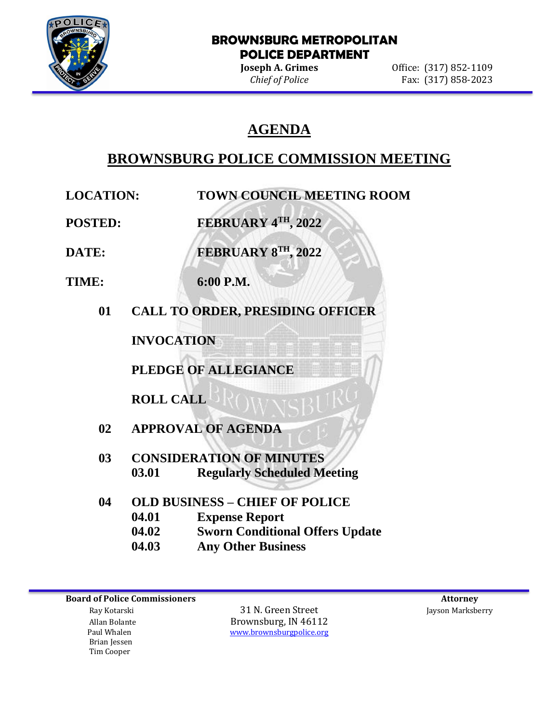

l

#### **BROWNSBURG METROPOLITAN POLICE DEPARTMENT**

**Joseph A. Grimes Office:** (317) 852-1109 *Chief of Police* Fax: (317) 858-2023

# **AGENDA**

# **BROWNSBURG POLICE COMMISSION MEETING**

- **LOCATION: TOWN COUNCIL MEETING ROOM**
- **POSTED: FEBRUARY 4TH, 2022**

**DATE: FEBRUARY 8TH, 2022**

- **TIME: 6:00 P.M.**
	- **01 CALL TO ORDER, PRESIDING OFFICER**

**INVOCATION**

**PLEDGE OF ALLEGIANCE**

**ROLL CALL**

- **02 APPROVAL OF AGENDA**
- **03 CONSIDERATION OF MINUTES 03.01 Regularly Scheduled Meeting**
- **04 OLD BUSINESS – CHIEF OF POLICE 04.01 Expense Report 04.02 Sworn Conditional Offers Update 04.03 Any Other Business**

 Brian Jessen Tim Cooper

 Ray Kotarski 31 N. Green Street Jayson Marksberry Allan Bolante **Brownsburg, IN 46112**<br>Paul Whalen **Brownsburg With The Wave Street Area** With Wave beings and With Press, and With Press, and With Pre [www.brownsburgpolice.org](http://www.brownsburgpolice.org/)

**Board of Police Commissioners Attorney Attorney Attorney Attorney Attorney Attorney Attorney Attorney Attorney**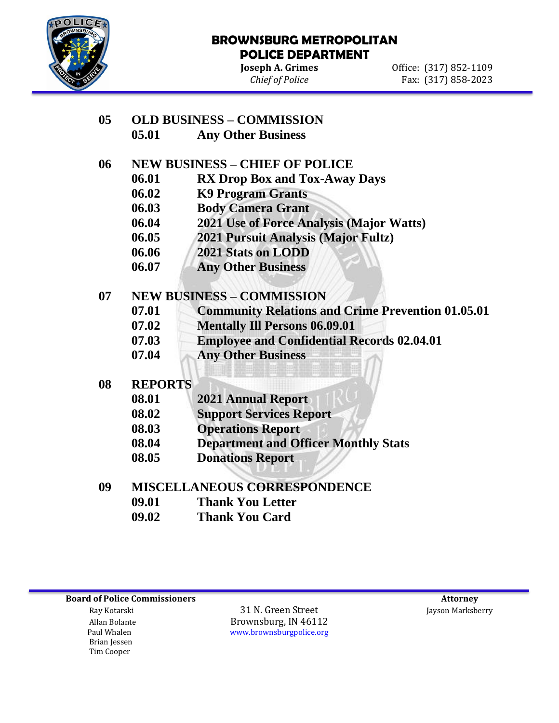

l

#### **BROWNSBURG METROPOLITAN POLICE DEPARTMENT**

**Joseph A. Grimes Office:** (317) 852-1109 *Chief of Police* Fax: (317) 858-2023

## **05 OLD BUSINESS – COMMISSION**

**05.01 Any Other Business** 

## **06 NEW BUSINESS – CHIEF OF POLICE**

- **06.01 RX Drop Box and Tox-Away Days**
- **06.02 K9 Program Grants**
- **06.03 Body Camera Grant**
- **06.04 2021 Use of Force Analysis (Major Watts)**
- **06.05 2021 Pursuit Analysis (Major Fultz)**
- **06.06 2021 Stats on LODD**
- **06.07 Any Other Business**

## **07 NEW BUSINESS – COMMISSION**

- **07.01 Community Relations and Crime Prevention 01.05.01**
- **07.02 Mentally Ill Persons 06.09.01**
- **07.03 Employee and Confidential Records 02.04.01**
- **07.04 Any Other Business**

#### **08 REPORTS**

| 08.01 | <b>2021 Annual Report</b>                   |
|-------|---------------------------------------------|
| 08.02 | <b>Support Services Report</b>              |
| 08.03 | <b>Operations Report</b>                    |
| 08.04 | <b>Department and Officer Monthly Stats</b> |

- 
- **08.05 Donations Report**

## **09 MISCELLANEOUS CORRESPONDENCE**

- **09.01 Thank You Letter**
- **09.02 Thank You Card**

**Board of Police Commissioners Attorney Attorney Attorney Attorney Attorney Attorney Attorney Attorney Attorney** 

 Brian Jessen Tim Cooper

 Ray Kotarski 31 N. Green Street Jayson Marksberry Allan Bolante **Brownsburg, IN 46112**<br>Paul Whalen **Brownsburg With The Contract With The With The Contract Organization** [www.brownsburgpolice.org](http://www.brownsburgpolice.org/)